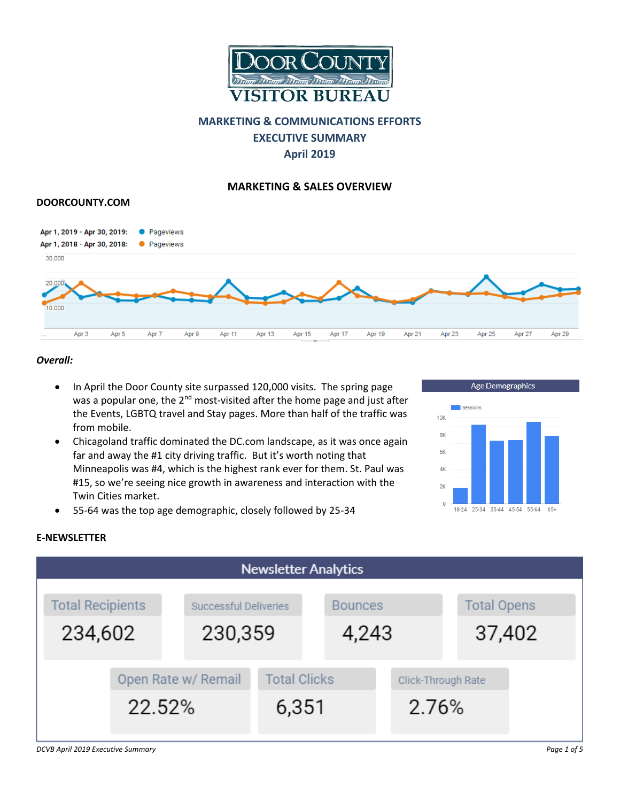

# **MARKETING & COMMUNICATIONS EFFORTS EXECUTIVE SUMMARY April 2019**

## **MARKETING & SALES OVERVIEW**

## **DOORCOUNTY.COM**



#### *Overall:*

- In April the Door County site surpassed 120,000 visits. The spring page was a popular one, the 2<sup>nd</sup> most-visited after the home page and just after the Events, LGBTQ travel and Stay pages. More than half of the traffic was from mobile.
- Chicagoland traffic dominated the DC.com landscape, as it was once again far and away the #1 city driving traffic. But it's worth noting that Minneapolis was #4, which is the highest rank ever for them. St. Paul was #15, so we're seeing nice growth in awareness and interaction with the Twin Cities market.



• 55-64 was the top age demographic, closely followed by 25-34



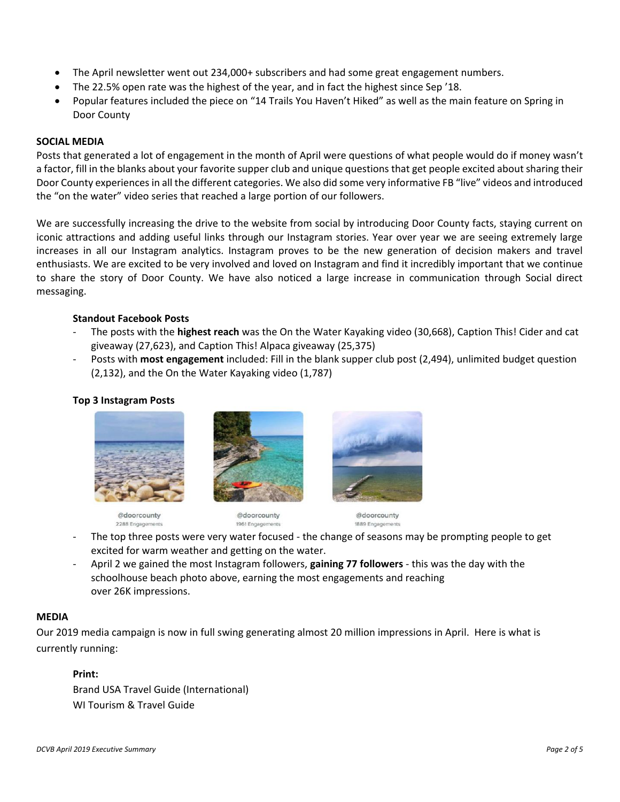- The April newsletter went out 234,000+ subscribers and had some great engagement numbers.
- The 22.5% open rate was the highest of the year, and in fact the highest since Sep '18.
- Popular features included the piece on "14 Trails You Haven't Hiked" as well as the main feature on Spring in Door County

#### **SOCIAL MEDIA**

Posts that generated a lot of engagement in the month of April were questions of what people would do if money wasn't a factor, fill in the blanks about your favorite supper club and unique questions that get people excited about sharing their Door County experiences in all the different categories. We also did some very informative FB "live" videos and introduced the "on the water" video series that reached a large portion of our followers.

We are successfully increasing the drive to the website from social by introducing Door County facts, staying current on iconic attractions and adding useful links through our Instagram stories. Year over year we are seeing extremely large increases in all our Instagram analytics. Instagram proves to be the new generation of decision makers and travel enthusiasts. We are excited to be very involved and loved on Instagram and find it incredibly important that we continue to share the story of Door County. We have also noticed a large increase in communication through Social direct messaging.

## **Standout Facebook Posts**

- The posts with the **highest reach** was the On the Water Kayaking video (30,668), Caption This! Cider and cat giveaway (27,623), and Caption This! Alpaca giveaway (25,375)
- Posts with **most engagement** included: Fill in the blank supper club post (2,494), unlimited budget question (2,132), and the On the Water Kayaking video (1,787)

#### **Top 3 Instagram Posts**







@doorcounty 1961 Engage

@doorcounty 1889 Engage

- The top three posts were very water focused the change of seasons may be prompting people to get excited for warm weather and getting on the water.
- April 2 we gained the most Instagram followers, **gaining 77 followers**  this was the day with the schoolhouse beach photo above, earning the most engagements and reaching over 26K impressions.

#### **MEDIA**

Our 2019 media campaign is now in full swing generating almost 20 million impressions in April. Here is what is currently running:

## **Print:**

Brand USA Travel Guide (International) WI Tourism & Travel Guide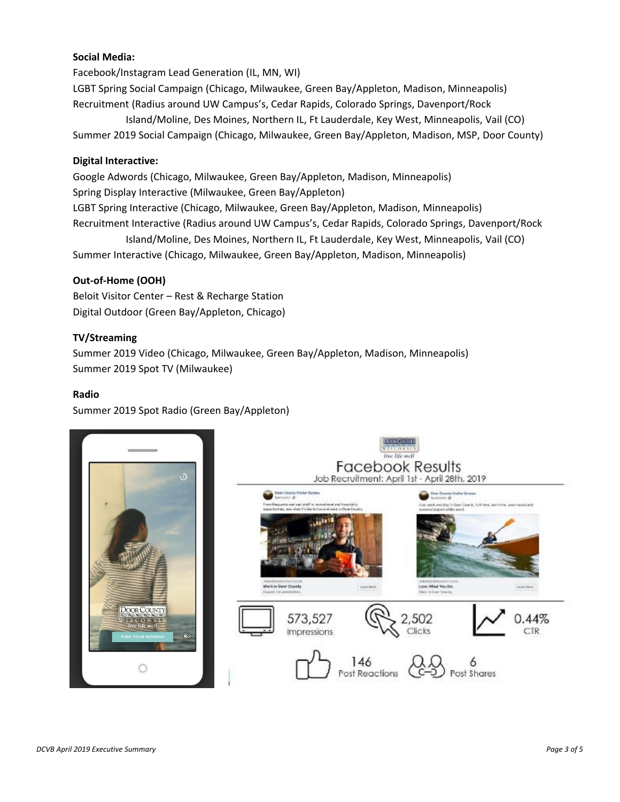## **Social Media:**

Facebook/Instagram Lead Generation (IL, MN, WI)

LGBT Spring Social Campaign (Chicago, Milwaukee, Green Bay/Appleton, Madison, Minneapolis) Recruitment (Radius around UW Campus's, Cedar Rapids, Colorado Springs, Davenport/Rock

 Island/Moline, Des Moines, Northern IL, Ft Lauderdale, Key West, Minneapolis, Vail (CO) Summer 2019 Social Campaign (Chicago, Milwaukee, Green Bay/Appleton, Madison, MSP, Door County)

## **Digital Interactive:**

Google Adwords (Chicago, Milwaukee, Green Bay/Appleton, Madison, Minneapolis) Spring Display Interactive (Milwaukee, Green Bay/Appleton) LGBT Spring Interactive (Chicago, Milwaukee, Green Bay/Appleton, Madison, Minneapolis) Recruitment Interactive (Radius around UW Campus's, Cedar Rapids, Colorado Springs, Davenport/Rock Island/Moline, Des Moines, Northern IL, Ft Lauderdale, Key West, Minneapolis, Vail (CO)

Summer Interactive (Chicago, Milwaukee, Green Bay/Appleton, Madison, Minneapolis)

## **Out-of-Home (OOH)**

Beloit Visitor Center – Rest & Recharge Station Digital Outdoor (Green Bay/Appleton, Chicago)

#### **TV/Streaming**

Summer 2019 Video (Chicago, Milwaukee, Green Bay/Appleton, Madison, Minneapolis) Summer 2019 Spot TV (Milwaukee)

#### **Radio**

Summer 2019 Spot Radio (Green Bay/Appleton)



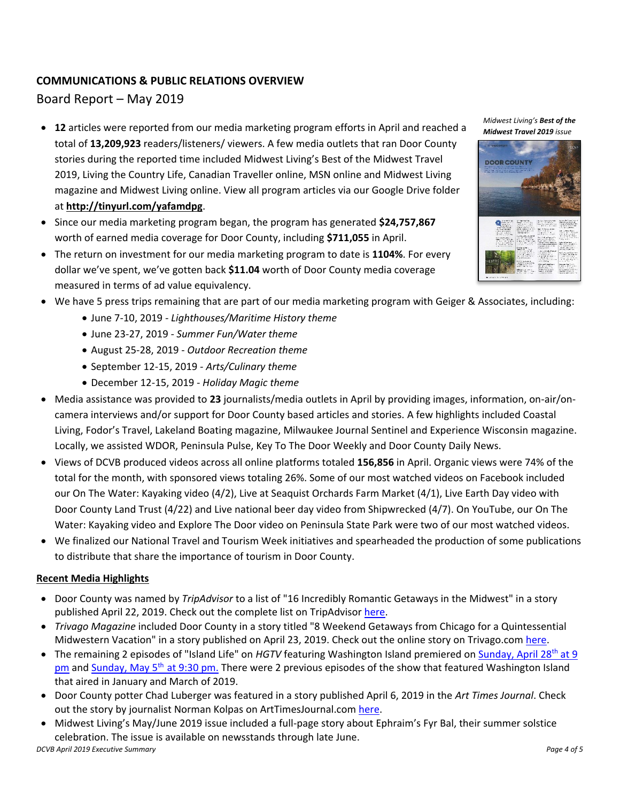## **COMMUNICATIONS & PUBLIC RELATIONS OVERVIEW**

# Board Report – May 2019

- **12** articles were reported from our media marketing program efforts in April and reached a total of **13,209,923** readers/listeners/ viewers. A few media outlets that ran Door County stories during the reported time included Midwest Living's Best of the Midwest Travel 2019, Living the Country Life, Canadian Traveller online, MSN online and Midwest Living magazine and Midwest Living online. View all program articles via our Google Drive folder at **<http://tinyurl.com/yafamdpg>**.
- Since our media marketing program began, the program has generated **\$24,757,867** worth of earned media coverage for Door County, including **\$711,055** in April.
- The return on investment for our media marketing program to date is **1104%**. For every dollar we've spent, we've gotten back **\$11.04** worth of Door County media coverage measured in terms of ad value equivalency.
- We have 5 press trips remaining that are part of our media marketing program with Geiger & Associates, including:
	- June 7-10, 2019 *- Lighthouses/Maritime History theme*
	- June 23-27, 2019 *- Summer Fun/Water theme*
	- August 25-28, 2019 *Outdoor Recreation theme*
	- September 12-15, 2019 *- Arts/Culinary theme*
	- December 12-15, 2019 *- Holiday Magic theme*
- Media assistance was provided to **23** journalists/media outlets in April by providing images, information, on-air/oncamera interviews and/or support for Door County based articles and stories. A few highlights included Coastal Living, Fodor's Travel, Lakeland Boating magazine, Milwaukee Journal Sentinel and Experience Wisconsin magazine. Locally, we assisted WDOR, Peninsula Pulse, Key To The Door Weekly and Door County Daily News.
- Views of DCVB produced videos across all online platforms totaled **156,856** in April. Organic views were 74% of the total for the month, with sponsored views totaling 26%. Some of our most watched videos on Facebook included our On The Water: Kayaking video (4/2), Live at Seaquist Orchards Farm Market (4/1), Live Earth Day video with Door County Land Trust (4/22) and Live national beer day video from Shipwrecked (4/7). On YouTube, our On The Water: Kayaking video and Explore The Door video on Peninsula State Park were two of our most watched videos.
- We finalized our National Travel and Tourism Week initiatives and spearheaded the production of some publications to distribute that share the importance of tourism in Door County.

## **Recent Media Highlights**

- Door County was named by *TripAdvisor* to a list of "16 Incredibly Romantic Getaways in the Midwest" in a story published April 22, 2019. Check out the complete list on TripAdvisor [here.](https://www.tripadvisor.com/VacationRentalsBlog/2019/04/22/midwest-romantic-getaways-couples/)
- *Trivago Magazine* included Door County in a story titled "8 Weekend Getaways from Chicago for a Quintessential Midwestern Vacation" in a story published on April 23, 2019. Check out the online story on Trivago.com [here.](https://magazine.trivago.com/weekend-getaways-from-chicago/)
- The remaining 2 episodes of "Island Life" on *HGTV* featuring Washington Island premiered o[n Sunday, April 28](https://www.hgtv.com/shows/island-life/episodes/leaving-the-windy-city-for-washington-island-wisconsin)<sup>th</sup> at 9 [pm](https://www.hgtv.com/shows/island-life/episodes/leaving-the-windy-city-for-washington-island-wisconsin) and [Sunday, May 5](https://www.hgtv.com/shows/island-life/episodes/a-washington-island-homecoming)<sup>th</sup> at 9:30 pm. There were 2 previous episodes of the show that featured Washington Island that aired in January and March of 2019.
- Door County potter Chad Luberger was featured in a story published April 6, 2019 in the *Art Times Journal*. Check out the story by journalist Norman Kolpas on ArtTimesJournal.com [here.](https://arttimesjournal.com/profile/april_6_19_norman_kolpas/chad_luberger.html)
- *DCVB April 2019 Executive Summary Page 4 of 5* • Midwest Living's May/June 2019 issue included a full-page story about Ephraim's Fyr Bal, their summer solstice celebration. The issue is available on newsstands through late June.

*Midwest Living's Best of the Midwest Travel 2019 issue*